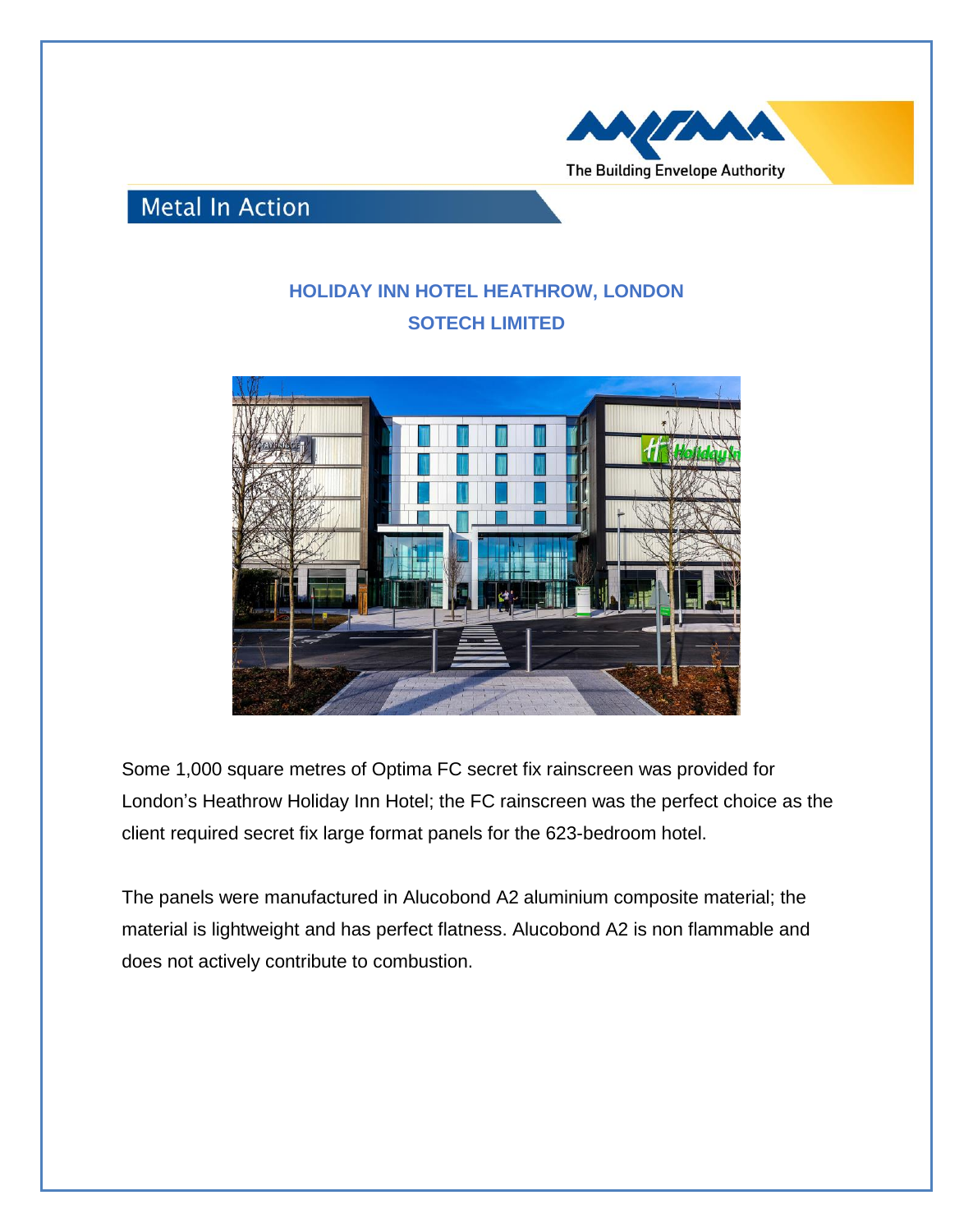

## **Metal In Action**

## **HOLIDAY INN HOTEL HEATHROW, LONDON SOTECH LIMITED**



Some 1,000 square metres of Optima FC secret fix rainscreen was provided for London's Heathrow Holiday Inn Hotel; the FC rainscreen was the perfect choice as the client required secret fix large format panels for the 623-bedroom hotel.

The panels were manufactured in Alucobond A2 aluminium composite material; the material is lightweight and has perfect flatness. Alucobond A2 is non flammable and does not actively contribute to combustion.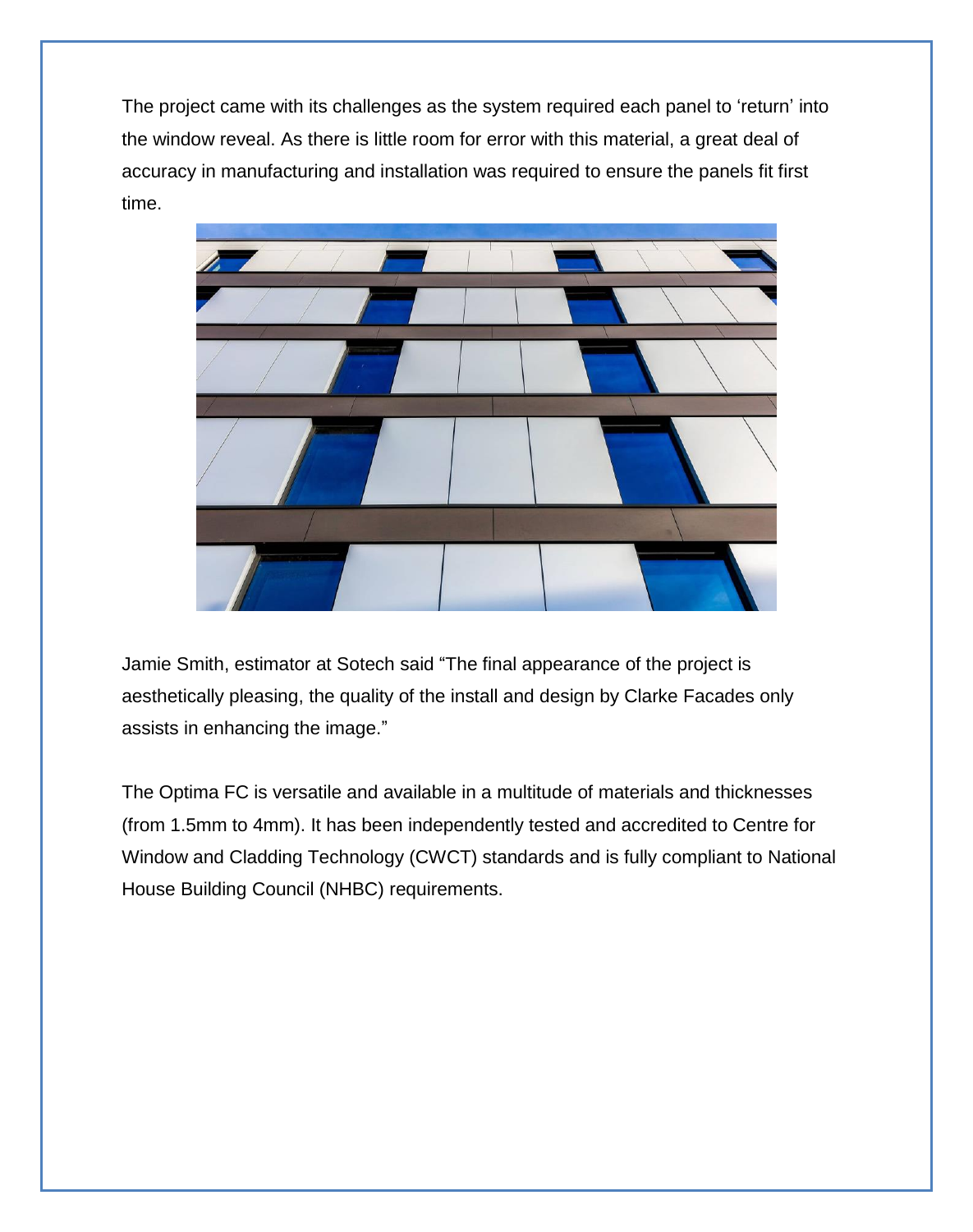The project came with its challenges as the system required each panel to 'return' into the window reveal. As there is little room for error with this material, a great deal of accuracy in manufacturing and installation was required to ensure the panels fit first time.



Jamie Smith, estimator at Sotech said "The final appearance of the project is aesthetically pleasing, the quality of the install and design by Clarke Facades only assists in enhancing the image."

The Optima FC is versatile and available in a multitude of materials and thicknesses (from 1.5mm to 4mm). It has been independently tested and accredited to Centre for Window and Cladding Technology (CWCT) standards and is fully compliant to National House Building Council (NHBC) requirements.